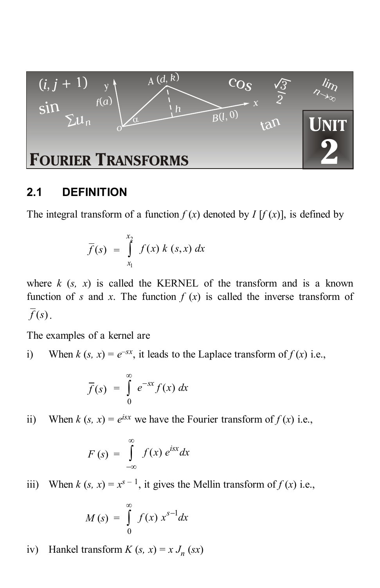

### **2.1 DEFINITION**

The integral transform of a function  $f(x)$  denoted by  $I[f(x)]$ , is defined by

$$
\overline{f}(s) = \int_{x_1}^{x_2} f(x) k(s,x) dx
$$

where  $k$  ( $s$ ,  $x$ ) is called the KERNEL of the transform and is a known function of *s* and *x*. The function  $f(x)$  is called the inverse transform of  $\overline{f}(s)$ .

The examples of a kernel are

i) When  $k(s, x) = e^{-sx}$ , it leads to the Laplace transform of  $f(x)$  i.e.,

$$
\overline{f}(s) = \int_{0}^{\infty} e^{-sx} f(x) dx
$$

ii) When  $k(s, x) = e^{isx}$  we have the Fourier transform of  $f(x)$  i.e.,

$$
F(s) = \int_{-\infty}^{\infty} f(x) e^{isx} dx
$$

iii) When  $k(s, x) = x^{s-1}$ , it gives the Mellin transform of  $f(x)$  i.e.,

$$
M(s) = \int_{0}^{\infty} f(x) x^{s-1} dx
$$

iv) Hankel transform  $K (s, x) = x J_n (sx)$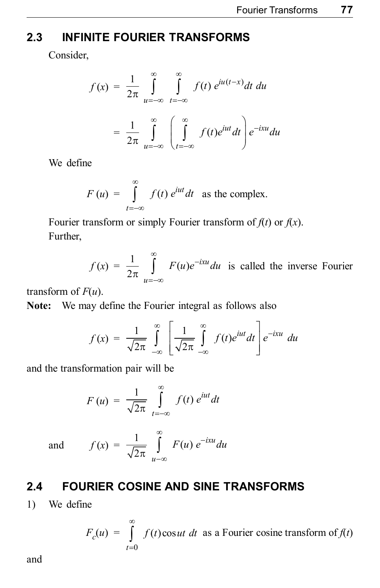# **2.3 INFINITE FOURIER TRANSFORMS**

Consider,

$$
f(x) = \frac{1}{2\pi} \int_{u=-\infty}^{\infty} \int_{t=-\infty}^{\infty} f(t) e^{iu(t-x)} dt du
$$

$$
= \frac{1}{2\pi} \int_{u=-\infty}^{\infty} \left( \int_{t=-\infty}^{\infty} f(t) e^{iut} dt \right) e^{-ixu} du
$$

We define

$$
F(u) = \int_{t=-\infty}^{\infty} f(t) e^{iut} dt
$$
 as the complex.

Fourier transform or simply Fourier transform of  $f(t)$  or  $f(x)$ . Further,

$$
f(x) = \frac{1}{2\pi} \int_{u=-\infty}^{\infty} F(u)e^{-ixu} du
$$
 is called the inverse Fourier

transform of *F*(*u*).

**Note:** We may define the Fourier integral as follows also

$$
f(x) = \frac{1}{\sqrt{2\pi}} \int_{-\infty}^{\infty} \left[ \frac{1}{\sqrt{2\pi}} \int_{-\infty}^{\infty} f(t) e^{iut} dt \right] e^{-ixu} du
$$

and the transformation pair will be

$$
F(u) = \frac{1}{\sqrt{2\pi}} \int_{t=-\infty}^{\infty} f(t) e^{iut} dt
$$

and  $f(x) = \frac{1}{\sqrt{2\pi}} \int_{u-\infty}^{\infty} F(u) e^{-i x u}$ *u*  $\int_{0}^{\infty} F(u) e^{-i x u} du$  $=\int\limits_{u-\infty}$ 

## **2.4 FOURIER COSINE AND SINE TRANSFORMS**

1) We define

$$
F_c(u) = \int_{t=0}^{\infty} f(t) \cos ut \, dt
$$
 as a Fourier cosine transform of  $f(t)$ 

and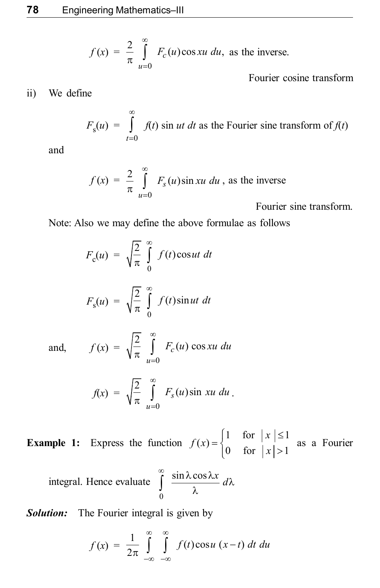$$
f(x) = \frac{2}{\pi} \int_{u=0}^{\infty} F_c(u) \cos xu \, du
$$
, as the inverse.

Fourier cosine transform

ii) We define

$$
F_{s}(u) = \int_{t=0}^{\infty} f(t) \sin ut \, dt
$$
 as the Fourier sine transform of  $f(t)$ 

and

$$
f(x) = \frac{2}{\pi} \int_{u=0}^{\infty} F_s(u) \sin xu \, du
$$
, as the inverse

Fourier sine transform.

Note: Also we may define the above formulae as follows

$$
F_c(u) = \sqrt{\frac{2}{\pi}} \int_0^{\infty} f(t) \cos ut \, dt
$$

$$
F_s(u) = \sqrt{\frac{2}{\pi}} \int_0^{\infty} f(t) \sin ut \, dt
$$

and, *f* (*x*) =

$$
f(x) = \sqrt{\frac{2}{\pi}} \int_{u=0}^{\infty} F_c(u) \cos xu \, du
$$

$$
f(x) = \sqrt{\frac{2}{\pi}} \int_{u=0}^{\infty} F_s(u) \sin xu \, du.
$$

**Example 1:** Express the function 1 for  $|x| \leq 1$  $f(x) = \begin{cases} 0 & \text{for } |x| > 1 \\ 0 & \text{for } |x| > 1 \end{cases}$ *x f x*  $=\begin{cases} 1 & \text{for } |x| \leq \\ 0 & \text{for } |x| > \end{cases}$  $\begin{cases} 0 & \text{for } |x| > 1 \end{cases}$  as a Fourier

integral. Hence evaluate 
$$
\int_{0}^{\infty} \frac{\sin \lambda \cos \lambda x}{\lambda} d\lambda
$$

*Solution:* The Fourier integral is given by

$$
f(x) = \frac{1}{2\pi} \int_{-\infty}^{\infty} \int_{-\infty}^{\infty} f(t) \cos u (x-t) dt du
$$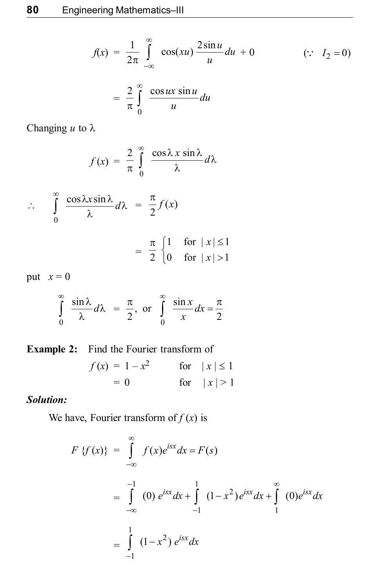$$
f(x) = \frac{1}{2\pi} \int_{-\infty}^{\infty} \cos(xu) \frac{2\sin u}{u} du + 0 \qquad (\because I_2 = 0)
$$

$$
= \frac{2}{\pi} \int_{0}^{\infty} \frac{\cos ux \sin u}{u} du
$$

Changing  $u$  to  $\lambda$ 

$$
f(x) = \frac{2}{\pi} \int_{0}^{\infty} \frac{\cos \lambda x \sin \lambda}{\lambda} d\lambda
$$

$$
\therefore \int_{0}^{\infty} \frac{\cos \lambda x \sin \lambda}{\lambda} d\lambda = \frac{\pi}{2} f(x)
$$

$$
= \frac{\pi}{2} \begin{cases} 1 & \text{for } |x| \le 1 \\ 0 & \text{for } |x| > 1 \end{cases}
$$

put  $x = 0$ 

$$
\int_{0}^{\infty} \frac{\sin \lambda}{\lambda} d\lambda = \frac{\pi}{2}, \text{ or } \int_{0}^{\infty} \frac{\sin x}{x} dx = \frac{\pi}{2}
$$

**Example 2:** Find the Fourier transform of 
$$
f(x) = 1 - x^2
$$
 for  $|x| \le 1$   
= 0 for  $|x| > 1$ 

#### *Solution:*

We have, Fourier transform of  $f(x)$  is

$$
F\{f(x)\} = \int_{-\infty}^{\infty} f(x)e^{isx} dx = F(s)
$$
  
=  $\int_{-\infty}^{-1} (0) e^{isx} dx + \int_{-1}^{1} (1-x^2)e^{isx} dx + \int_{1}^{\infty} (0)e^{isx} dx$   
=  $\int_{-1}^{1} (1-x^2) e^{isx} dx$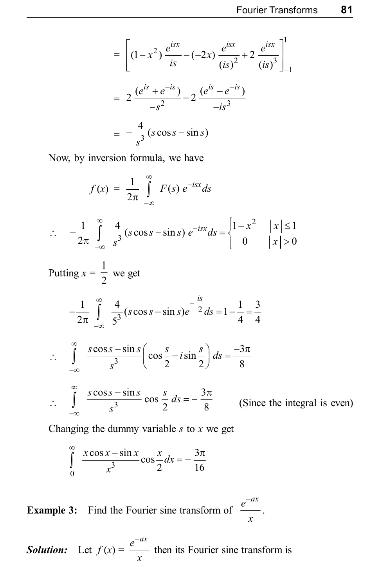$$
= \left[ (1 - x^2) \frac{e^{isx}}{is} - (-2x) \frac{e^{isx}}{(is)^2} + 2 \frac{e^{isx}}{(is)^3} \right]_1^1
$$
  
=  $2 \frac{(e^{is} + e^{-is})}{-s^2} - 2 \frac{(e^{is} - e^{-is})}{-is^3}$   
=  $-\frac{4}{s^3} (s \cos s - \sin s)$ 

Now, by inversion formula, we have

$$
f(x) = \frac{1}{2\pi} \int_{-\infty}^{\infty} F(s) e^{-isx} ds
$$
  
\n
$$
\therefore -\frac{1}{2\pi} \int_{-\infty}^{\infty} \frac{4}{s^3} (s \cos s - \sin s) e^{-isx} ds = \begin{cases} 1 - x^2 & |x| \le 1 \\ 0 & |x| > 0 \end{cases}
$$
  
\nPutting  $x = \frac{1}{2}$  we get  
\n
$$
-\frac{1}{2\pi} \int_{-\infty}^{\infty} \frac{4}{5^3} (s \cos s - \sin s) e^{-\frac{is}{2}} ds = 1 - \frac{1}{4} = \frac{3}{4}
$$
  
\n
$$
\therefore \int_{-\infty}^{\infty} \frac{s \cos s - \sin s}{s^3} \left( \cos \frac{s}{2} - i \sin \frac{s}{2} \right) ds = \frac{-3\pi}{8}
$$
  
\n
$$
\therefore \int_{-\infty}^{\infty} \frac{s \cos s - \sin s}{s^3} \cos \frac{s}{2} ds = -\frac{3\pi}{8}
$$
 (Since the integral is even)

2 8  $-\infty$ 

Changing the dummy variable *s* to *x* we get

$$
\int_{0}^{\infty} \frac{x \cos x - \sin x}{x^3} \cos \frac{x}{2} dx = -\frac{3\pi}{16}
$$

**Example 3:** Find the Fourier sine transform of  $e^{-ax}$ *x*  $\overline{a}$ .

*Solution:* Let  $f(x) = \frac{e^{-ax}}{x}$ *x*  $\overline{a}$ then its Fourier sine transform is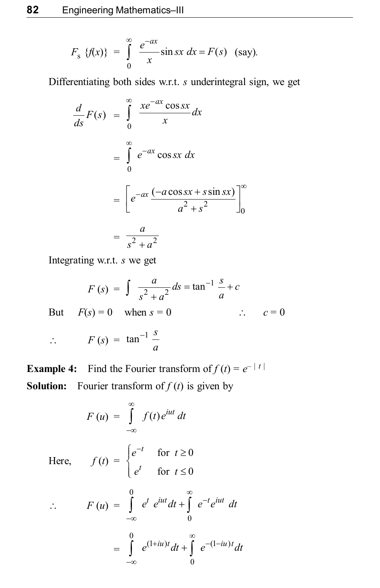$$
F_s \{f(x)\} = \int_0^\infty \frac{e^{-ax}}{x} \sin sx \, dx = F(s) \quad \text{(say)}.
$$

Differentiating both sides w.r.t. *s* underintegral sign, we get

$$
\frac{d}{ds}F(s) = \int_{0}^{\infty} \frac{xe^{-ax}\cos sx}{x} dx
$$

$$
= \int_{0}^{\infty} e^{-ax}\cos sx \, dx
$$

$$
= \left[e^{-ax}\frac{(-a\cos sx + s\sin sx)}{a^2 + s^2}\right]_{0}^{\infty}
$$

$$
= \frac{a}{s^2 + a^2}
$$

Integrating w.r.t. *s* we get

$$
F(s) = \int \frac{a}{s^2 + a^2} ds = \tan^{-1} \frac{s}{a} + c
$$
  
But  $F(s) = 0$  when  $s = 0$   $\therefore$   $c = 0$   
 $\therefore$   $F(s) = \tan^{-1} \frac{s}{a}$ 

**Example 4:** Find the Fourier transform of  $f(t) = e^{-|t|}$ **Solution:** Fourier transform of  $f(t)$  is given by

$$
F(u) = \int_{-\infty}^{\infty} f(t)e^{iut} dt
$$
  
Here,  $f(t) = \begin{cases} e^{-t} & \text{for } t \ge 0 \\ e^{t} & \text{for } t \le 0 \end{cases}$   

$$
\therefore F(u) = \int_{-\infty}^{0} e^{t} e^{iut} dt + \int_{0}^{\infty} e^{-t} e^{iut} dt
$$

$$
= \int_{-\infty}^{0} e^{(1+iu)t} dt + \int_{0}^{\infty} e^{-(1-iu)t} dt
$$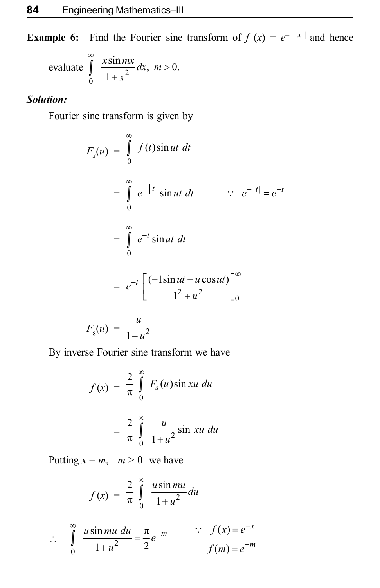**Example 6:** Find the Fourier sine transform of  $f(x) = e^{-|x|}$  and hence

$$
\text{evaluate } \int\limits_{0}^{\infty} \frac{x \sin mx}{1 + x^2} dx, \ m > 0.
$$

#### *Solution:*

Fourier sine transform is given by

$$
F_s(u) = \int_0^{\infty} f(t) \sin ut \, dt
$$
  

$$
= \int_0^{\infty} e^{-|t|} \sin ut \, dt \qquad \therefore e^{-|t|} = e^{-t}
$$
  

$$
= \int_0^{\infty} e^{-t} \sin ut \, dt
$$
  

$$
= e^{-t} \left[ \frac{(-1 \sin ut - u \cos ut)}{1^2 + u^2} \right]_0^{\infty}
$$
  

$$
F_s(u) = \frac{u}{1 + u^2}
$$

By inverse Fourier sine transform we have

$$
f(x) = \frac{2}{\pi} \int_{0}^{\infty} F_s(u) \sin xu \, du
$$

$$
= \frac{2}{\pi} \int_{0}^{\infty} \frac{u}{1 + u^2} \sin xu \, du
$$

Putting  $x = m$ ,  $m > 0$  we have

$$
f(x) = \frac{2}{\pi} \int_{0}^{\infty} \frac{u \sin mu}{1 + u^2} du
$$

$$
\therefore \int_{0}^{\infty} \frac{u \sin mu \, du}{1 + u^2} = \frac{\pi}{2} e^{-m} \qquad \therefore \quad f(x) = e^{-x}
$$
  

$$
f(m) = e^{-m}
$$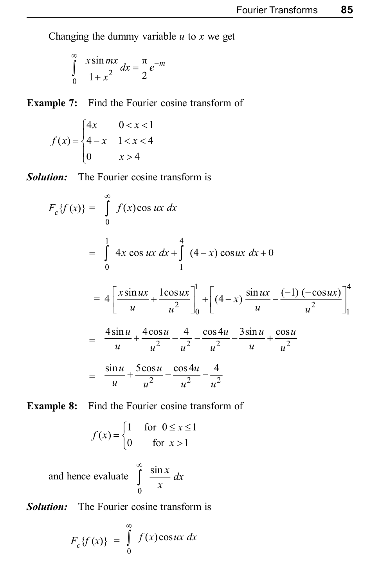Changing the dummy variable *u* to *x* we get

$$
\int_{0}^{\infty} \frac{x \sin mx}{1 + x^2} dx = \frac{\pi}{2} e^{-m}
$$

**Example 7:** Find the Fourier cosine transform of

$$
f(x) = \begin{cases} 4x & 0 < x < 1 \\ 4 - x & 1 < x < 4 \\ 0 & x > 4 \end{cases}
$$

*Solution:* The Fourier cosine transform is

$$
F_c\{f(x)\} = \int_0^\infty f(x)\cos ux \, dx
$$
  
=  $\int_0^1 4x \cos ux \, dx + \int_1^4 (4-x) \cos ux \, dx + 0$   
=  $4\left[\frac{x \sin ux}{u} + \frac{1 \cos ux}{u^2}\right]_0^1 + \left[(4-x) \frac{\sin ux}{u} - \frac{(-1) (-\cos ux)}{u^2}\right]_1^4$   
=  $\frac{4 \sin u}{u} + \frac{4 \cos u}{u^2} - \frac{4}{u^2} - \frac{\cos 4u}{u^2} - \frac{3 \sin u}{u} + \frac{\cos u}{u^2}$   
=  $\frac{\sin u}{u} + \frac{5 \cos u}{u^2} - \frac{\cos 4u}{u^2} - \frac{4}{u^2}$ 

**Example 8:** Find the Fourier cosine transform of

$$
f(x) = \begin{cases} 1 & \text{for } 0 \le x \le 1 \\ 0 & \text{for } x > 1 \end{cases}
$$

and hence evaluate 0  $\frac{\sin x}{x}$  *dx x*  $\infty$ ∫

*Solution:* The Fourier cosine transform is

$$
F_c\{f(x)\} = \int\limits_0^\infty f(x)\cos ux \, dx
$$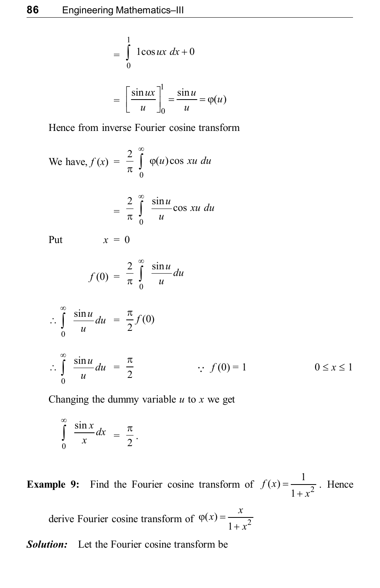$$
= \int_{0}^{1} 1\cos ux \, dx + 0
$$

$$
= \left[\frac{\sin ux}{u}\right]_{0}^{1} = \frac{\sin u}{u} = \varphi(u)
$$

Hence from inverse Fourier cosine transform

We have, 
$$
f(x) = \frac{2}{\pi} \int_{0}^{\infty} \varphi(u) \cos xu \, du
$$
  

$$
= \frac{2}{\pi} \int_{0}^{\infty} \frac{\sin u}{u} \cos xu \, du
$$

Put  $x = 0$ 

$$
f(0) = \frac{2}{\pi} \int_{0}^{\infty} \frac{\sin u}{u} du
$$

$$
\therefore \int_{0}^{\infty} \frac{\sin u}{u} du = \frac{\pi}{2} f(0)
$$
  

$$
\therefore \int_{0}^{\infty} \frac{\sin u}{u} du = \frac{\pi}{2} \qquad \therefore f(0) = 1 \qquad 0 \le x \le 1
$$

Changing the dummy variable *u* to *x* we get

$$
\int_{0}^{\infty} \frac{\sin x}{x} dx = \frac{\pi}{2}.
$$

**Example 9:** Find the Fourier cosine transform of  $f(x) = \frac{1}{1+x^2}$ 1  $f(x) = \frac{1}{1 + x^2}$ . Hence

derive Fourier cosine transform of  $\varphi(x) = \frac{x}{1 + x^2}$  $f(x) = \frac{x}{x}$ *x*  $\varphi(x) =$  $\ddot{}$ 

*Solution:* Let the Fourier cosine transform be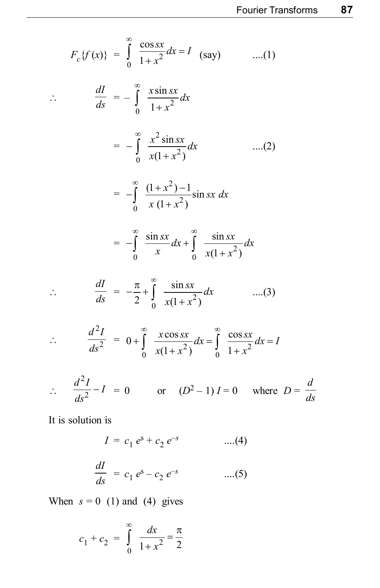$$
F_c \{f(x)\} = \int_0^\infty \frac{\cos sx}{1 + x^2} dx = I \text{ (say)} \qquad ....(1)
$$
  
\n
$$
\therefore \qquad \frac{dI}{ds} = -\int_0^\infty \frac{x \sin sx}{1 + x^2} dx
$$
  
\n
$$
= -\int_0^\infty \frac{x^2 \sin sx}{x(1 + x^2)} dx \qquad ....(2)
$$
  
\n
$$
= -\int_0^\infty \frac{(1 + x^2) - 1}{x(1 + x^2)} \sin sx \, dx
$$
  
\n
$$
= -\int_0^\infty \frac{\sin sx}{x} dx + \int_0^\infty \frac{\sin sx}{x(1 + x^2)} dx
$$
  
\n
$$
\therefore \qquad \frac{dI}{ds} = -\frac{\pi}{2} + \int_0^\infty \frac{\sin sx}{x(1 + x^2)} dx \qquad ....(3)
$$
  
\n
$$
\therefore \qquad \frac{d^2I}{ds^2} = 0 + \int_0^\infty \frac{x \cos sx}{x(1 + x^2)} dx = \int_0^\infty \frac{\cos sx}{1 + x^2} dx = I
$$

$$
\therefore \quad \frac{d^2I}{ds^2} - I = 0 \quad \text{or} \quad (D^2 - 1)I = 0 \quad \text{where} \quad D = \frac{d}{ds}
$$

 $(1 + x^2)$   $\frac{3}{0}$  1

 $x(1+x^2)$   $\frac{3}{0}$  1+x

It is solution is

2

$$
I = c_1 e^{s} + c_2 e^{-s} \qquad \dots (4)
$$

$$
\frac{dI}{ds} = c_1 e^s - c_2 e^{-s} \qquad \dots(5)
$$

When  $s = 0$  (1) and (4) gives

$$
c_1 + c_2 = \int_{0}^{\infty} \frac{dx}{1 + x^2} = \frac{\pi}{2}
$$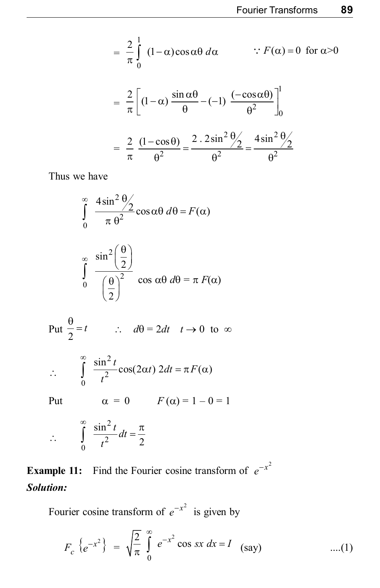$$
= \frac{2}{\pi} \int_{0}^{1} (1-\alpha)\cos\alpha\theta \, d\alpha \qquad \therefore F(\alpha) = 0 \text{ for } \alpha > 0
$$

$$
= \frac{2}{\pi} \left[ (1-\alpha) \frac{\sin\alpha\theta}{\theta} - (-1) \frac{(-\cos\alpha\theta)}{\theta^{2}} \right]_{0}^{1}
$$

$$
= \frac{2}{\pi} \frac{(1-\cos\theta)}{\theta^{2}} = \frac{2 \cdot 2\sin^{2}\theta/2}{\theta^{2}} = \frac{4\sin^{2}\theta/2}{\theta^{2}}
$$

Thus we have

$$
\int_{0}^{\infty} \frac{4\sin^2{\frac{\theta}{2}}}{\pi \theta^2} \cos{\alpha\theta} \, d\theta = F(\alpha)
$$

$$
\int_{0}^{\infty} \frac{\sin^2\left(\frac{\theta}{2}\right)}{\left(\frac{\theta}{2}\right)^2} \cos \alpha \theta \, d\theta = \pi \, F(\alpha)
$$

Put 
$$
\frac{\theta}{2} = t
$$
  $\therefore d\theta = 2dt$   $t \to 0$  to  $\infty$ 

$$
\therefore \qquad \int_{0}^{\infty} \frac{\sin^2 t}{t^2} \cos(2\alpha t) \, 2dt = \pi F(\alpha)
$$

Put  $\alpha = 0$ 

$$
F(\alpha) = 1 - 0 = 1
$$

$$
\therefore \qquad \int_{0}^{\infty} \frac{\sin^2 t}{t^2} dt = \frac{\pi}{2}
$$

**Example 11:** Find the Fourier cosine transform of  $e^{-x^2}$ *Solution:*

Fourier cosine transform of  $e^{-x^2}$  is given by

$$
F_c \{ e^{-x^2} \} = \sqrt{\frac{2}{\pi}} \int_0^{\infty} e^{-x^2} \cos sx \, dx = I \quad \text{(say)} \quad \dots (1)
$$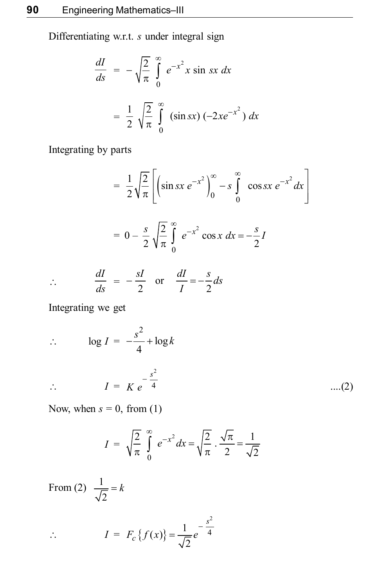Differentiating w.r.t. *s* under integral sign

$$
\frac{dI}{ds} = -\sqrt{\frac{2}{\pi}} \int_{0}^{\infty} e^{-x^2} x \sin sx \, dx
$$

$$
= \frac{1}{2} \sqrt{\frac{2}{\pi}} \int_{0}^{\infty} (\sin sx) (-2x e^{-x^2}) \, dx
$$

Integrating by parts

$$
= \frac{1}{2} \sqrt{\frac{2}{\pi}} \left[ \left( \sin sx \ e^{-x^2} \right)_0^{\infty} - s \int_0^{\infty} \cos sx \ e^{-x^2} dx \right]
$$

$$
= 0 - \frac{s}{2} \sqrt{\frac{2}{\pi}} \int_0^{\infty} e^{-x^2} \cos x \ dx = -\frac{s}{2} I
$$

$$
\therefore \frac{dI}{ds} = -\frac{sI}{2} \text{ or } \frac{dI}{I} = -\frac{s}{2}ds
$$

Integrating we get

$$
\therefore \qquad \log I = -\frac{s^2}{4} + \log k
$$
\n
$$
\therefore \qquad I = K e^{-\frac{s^2}{4}}
$$
\n...(2)

Now, when  $s = 0$ , from (1)

$$
I = \sqrt{\frac{2}{\pi}} \int_{0}^{\infty} e^{-x^{2}} dx = \sqrt{\frac{2}{\pi}} \cdot \frac{\sqrt{\pi}}{2} = \frac{1}{\sqrt{2}}
$$

From (2)  $\frac{1}{\sqrt{2}} = k$ 

$$
\therefore \qquad I = F_c \{ f(x) \} = \frac{1}{\sqrt{2}} e^{-\frac{s^2}{4}}
$$